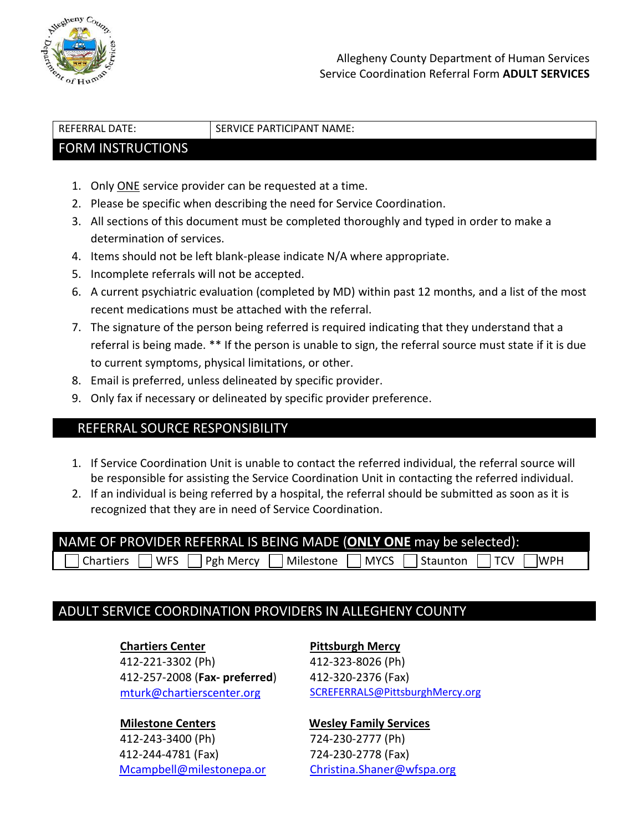

REFERRAL DATE: SERVICE PARTICIPANT NAME:

#### FORM INSTRUCTIONS

- 1. Only ONE service provider can be requested at a time.
- 2. Please be specific when describing the need for Service Coordination.
- 3. All sections of this document must be completed thoroughly and typed in order to make a determination of services.
- 4. Items should not be left blank-please indicate N/A where appropriate.
- 5. Incomplete referrals will not be accepted.
- 6. A current psychiatric evaluation (completed by MD) within past 12 months, and a list of the most recent medications must be attached with the referral.
- 7. The signature of the person being referred is required indicating that they understand that a referral is being made. \*\* If the person is unable to sign, the referral source must state if it is due to current symptoms, physical limitations, or other.
- 8. Email is preferred, unless delineated by specific provider.
- 9. Only fax if necessary or delineated by specific provider preference.

### REFERRAL SOURCE RESPONSIBILITY

- 1. If Service Coordination Unit is unable to contact the referred individual, the referral source will be responsible for assisting the Service Coordination Unit in contacting the referred individual.
- 2. If an individual is being referred by a hospital, the referral should be submitted as soon as it is recognized that they are in need of Service Coordination.

| NAME OF PROVIDER REFERRAL IS BEING MADE (ONLY ONE may be selected): |  |  |  |  |
|---------------------------------------------------------------------|--|--|--|--|
| The T WES T Pgh Mercy T Milestone T MYCS Staunton T TCV T WPH       |  |  |  |  |

## ADULT SERVICE COORDINATION PROVIDERS IN ALLEGHENY COUNTY

#### **Chartiers Center**

412-221-3302 (Ph) 412-257-2008 (**Fax- preferred**) [mturk@chartierscenter.org](mailto:mturk@chartierscenter.org)

#### **Milestone Centers**

412-243-3400 (Ph) 412-244-4781 (Fax) [Mcampbell@milestonepa.or](mailto:Mcampbell@milestonepa.or)

#### **Pittsburgh Mercy** 412-323-8026 (Ph) 412-320-2376 (Fax)

[SCREFERRALS@PittsburghMercy.org](mailto:SCREFERRALS@PittsburghMercy.org)

#### **Wesley Family Services**

724-230-2777 (Ph) 724-230-2778 (Fax) [Christina.Shaner@wfspa.org](mailto:Christina.Shaner@wfspa.org)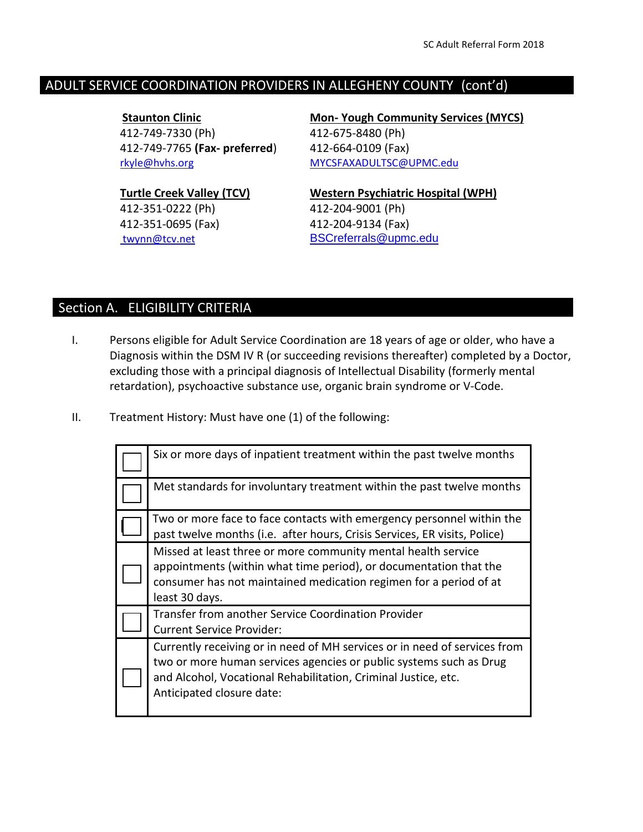### ADULT SERVICE COORDINATION PROVIDERS IN ALLEGHENY COUNTY (cont'd)

 **Staunton Clinic**  412-749-7330 (Ph) 412-749-7765 **(Fax- preferred**) [rkyle@hvhs.org](mailto:rkyle@hvhs.org)

**Turtle Creek Valley (TCV)** 412-351-0222 (Ph) 412-351-0695 (Fax) [twynn@tcv.net](mailto:twynn@tcv.net)

**Mon- Yough Community Services (MYCS)** 412-675-8480 (Ph) 412-664-0109 (Fax) [MYCSFAXADULTSC@UPMC.edu](mailto:MYCSFAXADULTSC@UPMC.edu)

**Western Psychiatric Hospital (WPH)** 412-204-9001 (Ph) 412-204-9134 (Fax) [BSCreferrals@upmc.edu](mailto:BSCreferrals@upmc.edu)

# Section A. ELIGIBILITY CRITERIA

- I. Persons eligible for Adult Service Coordination are 18 years of age or older, who have a Diagnosis within the DSM IV R (or succeeding revisions thereafter) completed by a Doctor, excluding those with a principal diagnosis of Intellectual Disability (formerly mental retardation), psychoactive substance use, organic brain syndrome or V-Code.
- II. Treatment History: Must have one (1) of the following:

| Six or more days of inpatient treatment within the past twelve months                                                                                                                                                                          |
|------------------------------------------------------------------------------------------------------------------------------------------------------------------------------------------------------------------------------------------------|
| Met standards for involuntary treatment within the past twelve months                                                                                                                                                                          |
| Two or more face to face contacts with emergency personnel within the<br>past twelve months (i.e. after hours, Crisis Services, ER visits, Police)                                                                                             |
| Missed at least three or more community mental health service<br>appointments (within what time period), or documentation that the<br>consumer has not maintained medication regimen for a period of at<br>least 30 days.                      |
| Transfer from another Service Coordination Provider<br><b>Current Service Provider:</b>                                                                                                                                                        |
| Currently receiving or in need of MH services or in need of services from<br>two or more human services agencies or public systems such as Drug<br>and Alcohol, Vocational Rehabilitation, Criminal Justice, etc.<br>Anticipated closure date: |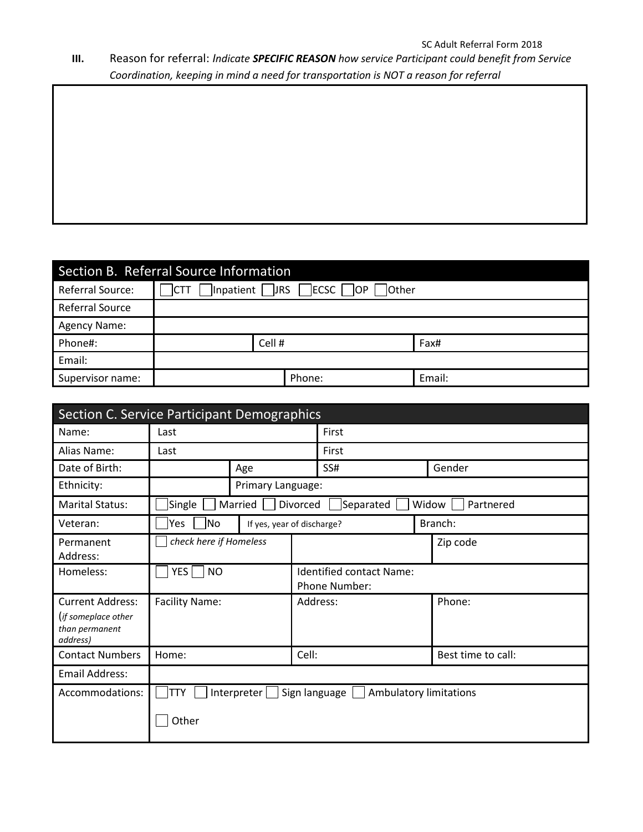# **III.** Reason for referral: *Indicate SPECIFIC REASON how service Participant could benefit from Service Coordination, keeping in mind a need for transportation is NOT a reason for referral*

| Section B. Referral Source Information |             |                                                                |        |  |  |  |
|----------------------------------------|-------------|----------------------------------------------------------------|--------|--|--|--|
| Referral Source:                       | <b>ICTT</b> | $\Box$ Inpatient $\Box$ JRS $\Box$ ECSC $\Box$ OP $\Box$ Other |        |  |  |  |
| <b>Referral Source</b>                 |             |                                                                |        |  |  |  |
| <b>Agency Name:</b>                    |             |                                                                |        |  |  |  |
| Phone#:                                | Cell #      |                                                                | Fax#   |  |  |  |
| Email:                                 |             |                                                                |        |  |  |  |
| Supervisor name:                       |             | Phone:                                                         | Email: |  |  |  |

| Section C. Service Participant Demographics                                  |                                                                      |                            |          |                                           |  |                    |
|------------------------------------------------------------------------------|----------------------------------------------------------------------|----------------------------|----------|-------------------------------------------|--|--------------------|
| Name:                                                                        | Last                                                                 |                            |          | First                                     |  |                    |
| Alias Name:                                                                  | Last                                                                 |                            |          | First                                     |  |                    |
| Date of Birth:                                                               |                                                                      | Age                        |          | SS#                                       |  | Gender             |
| Ethnicity:                                                                   |                                                                      | Primary Language:          |          |                                           |  |                    |
| <b>Marital Status:</b>                                                       | Single                                                               | Married                    | Divorced | Separated                                 |  | Widow<br>Partnered |
| Veteran:                                                                     | Yes<br> No                                                           | If yes, year of discharge? |          |                                           |  | Branch:            |
| Permanent<br>Address:                                                        | check here if Homeless                                               |                            |          |                                           |  | Zip code           |
| Homeless:                                                                    | <b>YES</b><br><b>NO</b>                                              |                            |          | Identified contact Name:<br>Phone Number: |  |                    |
| <b>Current Address:</b><br>(if someplace other<br>than permanent<br>address) | <b>Facility Name:</b>                                                |                            |          | Address:                                  |  | Phone:             |
| <b>Contact Numbers</b>                                                       | Home:                                                                |                            | Cell:    |                                           |  | Best time to call: |
| <b>Email Address:</b>                                                        |                                                                      |                            |          |                                           |  |                    |
| Accommodations:                                                              | Interpreter<br><b>TTY</b><br>Sign language<br>Ambulatory limitations |                            |          |                                           |  |                    |
|                                                                              | Other                                                                |                            |          |                                           |  |                    |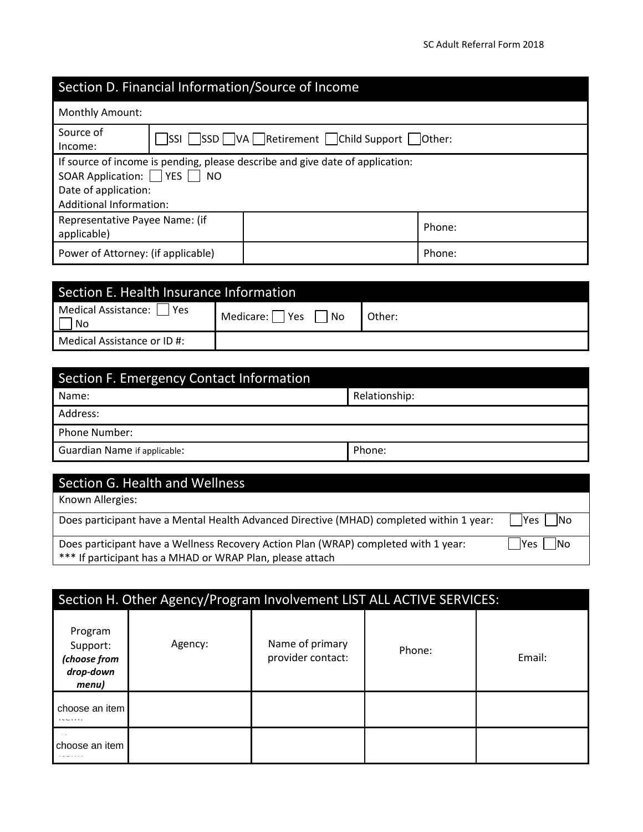# Section D. Financial Information/Source of Income

| <b>Monthly Amount:</b>                                                                                                                                                                      |  |                                            |        |  |
|---------------------------------------------------------------------------------------------------------------------------------------------------------------------------------------------|--|--------------------------------------------|--------|--|
| Source of<br>Income:                                                                                                                                                                        |  | SSI SSD VA Retirement Child Support Other: |        |  |
| If source of income is pending, please describe and give date of application:<br>SOAR Application: $\Box$ YES $\Box$<br><b>NO</b><br>Date of application:<br><b>Additional Information:</b> |  |                                            |        |  |
| Representative Payee Name: (if<br>Phone:<br>applicable)                                                                                                                                     |  |                                            |        |  |
| Power of Attorney: (if applicable)                                                                                                                                                          |  |                                            | Phone: |  |

| Section E. Health Insurance Information |        |  |  |  |  |
|-----------------------------------------|--------|--|--|--|--|
| Medical Assistance:  <br>l Yes<br>No    | Other: |  |  |  |  |
| Medical Assistance or ID#:              |        |  |  |  |  |

| Section F. Emergency Contact Information |               |  |  |  |
|------------------------------------------|---------------|--|--|--|
| Name:                                    | Relationship: |  |  |  |
| Address:                                 |               |  |  |  |
| Phone Number:                            |               |  |  |  |
| <b>Guardian Name if applicable:</b>      | Phone:        |  |  |  |

# Section G. Health and Wellness

Known Allergies:

Does participant have a Mental Health Advanced Directive (MHAD) completed within 1 year:  $\Box$ Yes  $\Box$ No

Does participant have a Wellness Recovery Action Plan (WRAP) completed with 1 year:  $\Box$  Yes  $\Box$  No \*\*\* If participant has a MHAD or WRAP Plan, please attach

|                                                           | Section H. Other Agency/Program Involvement LIST ALL ACTIVE SERVICES: |                                      |        |        |  |  |
|-----------------------------------------------------------|-----------------------------------------------------------------------|--------------------------------------|--------|--------|--|--|
| Program<br>Support:<br>(choose from<br>drop-down<br>menu) | Agency:                                                               | Name of primary<br>provider contact: | Phone: | Email: |  |  |
| choose an item<br><b><i>ILLIII</i></b>                    |                                                                       |                                      |        |        |  |  |
| choose an item                                            |                                                                       |                                      |        |        |  |  |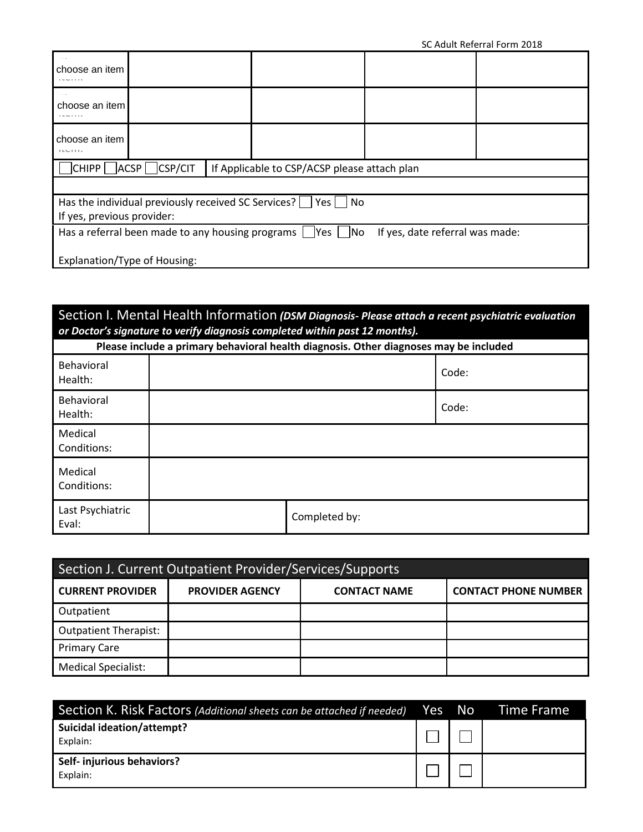| SC Adult Referral Form 2018                                        |                                                  |  |                                              |                                 |  |
|--------------------------------------------------------------------|--------------------------------------------------|--|----------------------------------------------|---------------------------------|--|
| choose an item                                                     |                                                  |  |                                              |                                 |  |
| choose an item<br>.                                                |                                                  |  |                                              |                                 |  |
| choose an item<br>$115 - 1111$                                     |                                                  |  |                                              |                                 |  |
| CHIPP                                                              | CSP/CIT<br>ACSP                                  |  | If Applicable to CSP/ACSP please attach plan |                                 |  |
|                                                                    |                                                  |  |                                              |                                 |  |
| Has the individual previously received SC Services?<br>Yes I<br>No |                                                  |  |                                              |                                 |  |
| If yes, previous provider:                                         |                                                  |  |                                              |                                 |  |
|                                                                    | Has a referral been made to any housing programs |  | $Yes$ $ $<br> No                             | If yes, date referral was made: |  |
| Explanation/Type of Housing:                                       |                                                  |  |                                              |                                 |  |

## Section I. Mental Health Information *(DSM Diagnosis- Please attach a recent psychiatric evaluation or Doctor's signature to verify diagnosis completed within past 12 months).*

| Please include a primary behavioral health diagnosis. Other diagnoses may be included |  |               |       |  |  |  |
|---------------------------------------------------------------------------------------|--|---------------|-------|--|--|--|
| Behavioral<br>Health:                                                                 |  |               | Code: |  |  |  |
| Behavioral<br>Health:                                                                 |  |               | Code: |  |  |  |
| Medical<br>Conditions:                                                                |  |               |       |  |  |  |
| Medical<br>Conditions:                                                                |  |               |       |  |  |  |
| Last Psychiatric<br>Eval:                                                             |  | Completed by: |       |  |  |  |

| Section J. Current Outpatient Provider/Services/Supports |                        |                     |                             |  |  |  |  |
|----------------------------------------------------------|------------------------|---------------------|-----------------------------|--|--|--|--|
| <b>CURRENT PROVIDER</b>                                  | <b>PROVIDER AGENCY</b> | <b>CONTACT NAME</b> | <b>CONTACT PHONE NUMBER</b> |  |  |  |  |
| Outpatient                                               |                        |                     |                             |  |  |  |  |
| <b>Outpatient Therapist:</b>                             |                        |                     |                             |  |  |  |  |
| <b>Primary Care</b>                                      |                        |                     |                             |  |  |  |  |
| <b>Medical Specialist:</b>                               |                        |                     |                             |  |  |  |  |

| Section K. Risk Factors (Additional sheets can be attached if needed) Yes No |  | <b>Time Frame</b> |
|------------------------------------------------------------------------------|--|-------------------|
| <b>Suicidal ideation/attempt?</b><br>Explain:                                |  |                   |
| Self- injurious behaviors?<br>Explain:                                       |  |                   |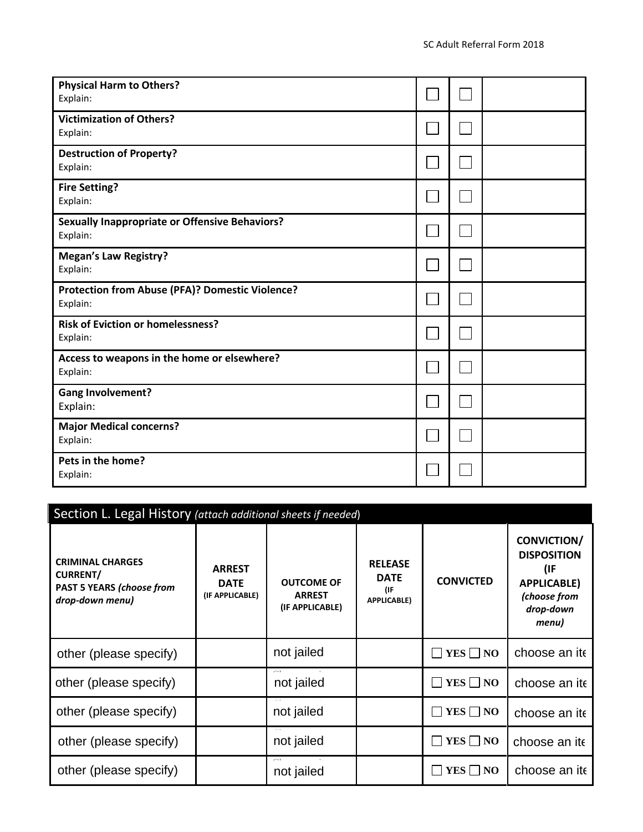| <b>Physical Harm to Others?</b><br>Explain:                       |  |  |
|-------------------------------------------------------------------|--|--|
| <b>Victimization of Others?</b><br>Explain:                       |  |  |
| <b>Destruction of Property?</b><br>Explain:                       |  |  |
| <b>Fire Setting?</b><br>Explain:                                  |  |  |
| <b>Sexually Inappropriate or Offensive Behaviors?</b><br>Explain: |  |  |
| <b>Megan's Law Registry?</b><br>Explain:                          |  |  |
| Protection from Abuse (PFA)? Domestic Violence?<br>Explain:       |  |  |
| <b>Risk of Eviction or homelessness?</b><br>Explain:              |  |  |
| Access to weapons in the home or elsewhere?<br>Explain:           |  |  |
| <b>Gang Involvement?</b><br>Explain:                              |  |  |
| <b>Major Medical concerns?</b><br>Explain:                        |  |  |
| Pets in the home?<br>Explain:                                     |  |  |

| Section L. Legal History (attach additional sheets if needed)                                     |                                                 |                                                       |                                                            |                  |                                                                                                             |
|---------------------------------------------------------------------------------------------------|-------------------------------------------------|-------------------------------------------------------|------------------------------------------------------------|------------------|-------------------------------------------------------------------------------------------------------------|
| <b>CRIMINAL CHARGES</b><br><b>CURRENT/</b><br><b>PAST 5 YEARS (choose from</b><br>drop-down menu) | <b>ARREST</b><br><b>DATE</b><br>(IF APPLICABLE) | <b>OUTCOME OF</b><br><b>ARREST</b><br>(IF APPLICABLE) | <b>RELEASE</b><br><b>DATE</b><br>(IF<br><b>APPLICABLE)</b> | <b>CONVICTED</b> | <b>CONVICTION/</b><br><b>DISPOSITION</b><br>(IF<br><b>APPLICABLE)</b><br>(choose from<br>drop-down<br>menu) |
| other (please specify)                                                                            |                                                 | not jailed                                            |                                                            | $YES \Box NO$    | choose an ite                                                                                               |
| other (please specify)                                                                            |                                                 | not jailed                                            |                                                            | $YES \Box NO$    | choose an ite                                                                                               |
| other (please specify)                                                                            |                                                 | not jailed                                            |                                                            | $YES \Box NO$    | choose an ite                                                                                               |
| other (please specify)                                                                            |                                                 | not jailed                                            |                                                            | $YES \Box NO$    | choose an ite                                                                                               |
| other (please specify)                                                                            |                                                 | not jailed                                            |                                                            | YES     NO       | choose an ite                                                                                               |